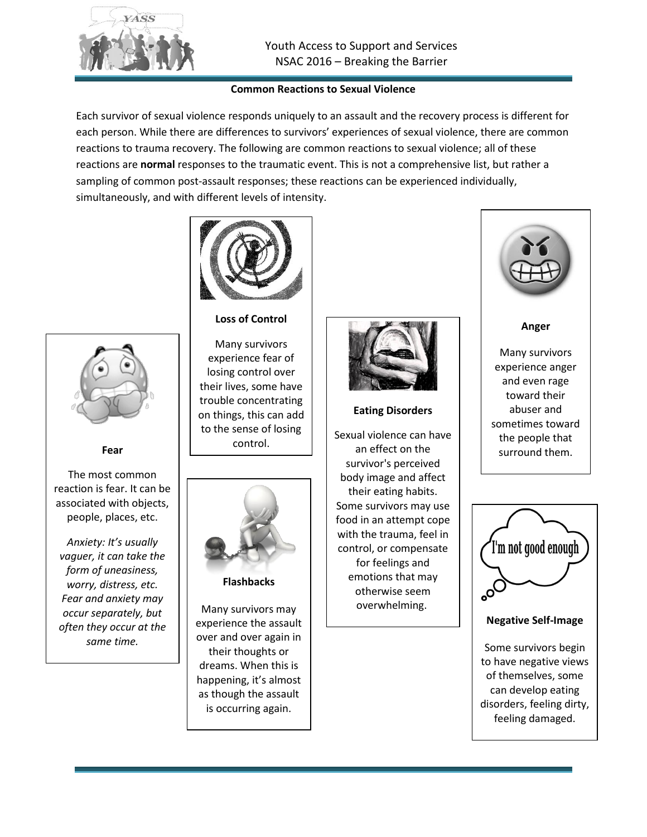

## **Common Reactions to Sexual Violence**

Each survivor of sexual violence responds uniquely to an assault and the recovery process is different for each person. While there are differences to survivors' experiences of sexual violence, there are common reactions to trauma recovery. The following are common reactions to sexual violence; all of these reactions are **normal** responses to the traumatic event. This is not a comprehensive list, but rather a sampling of common post-assault responses; these reactions can be experienced individually, simultaneously, and with different levels of intensity.



## **Loss of Control**

Many survivors experience fear of losing control over their lives, some have trouble concentrating on things, this can add to the sense of losing control.



**Flashbacks**

Many survivors may experience the assault over and over again in their thoughts or dreams. When this is happening, it's almost as though the assault is occurring again.



### **Eating Disorders**

Sexual violence can have an effect on the survivor's perceived body image and affect their eating habits. Some survivors may use food in an attempt cope with the trauma, feel in control, or compensate for feelings and emotions that may otherwise seem overwhelming.



**Anger**

Many survivors experience anger and even rage toward their abuser and sometimes toward the people that surround them.



**Negative Self-Image**

Some survivors begin to have negative views of themselves, some can develop eating disorders, feeling dirty, feeling damaged.



**Fear**

The most common reaction is fear. It can be associated with objects, people, places, etc.

*Anxiety: It's usually vaguer, it can take the form of uneasiness, worry, distress, etc. Fear and anxiety may occur separately, but often they occur at the same time.*